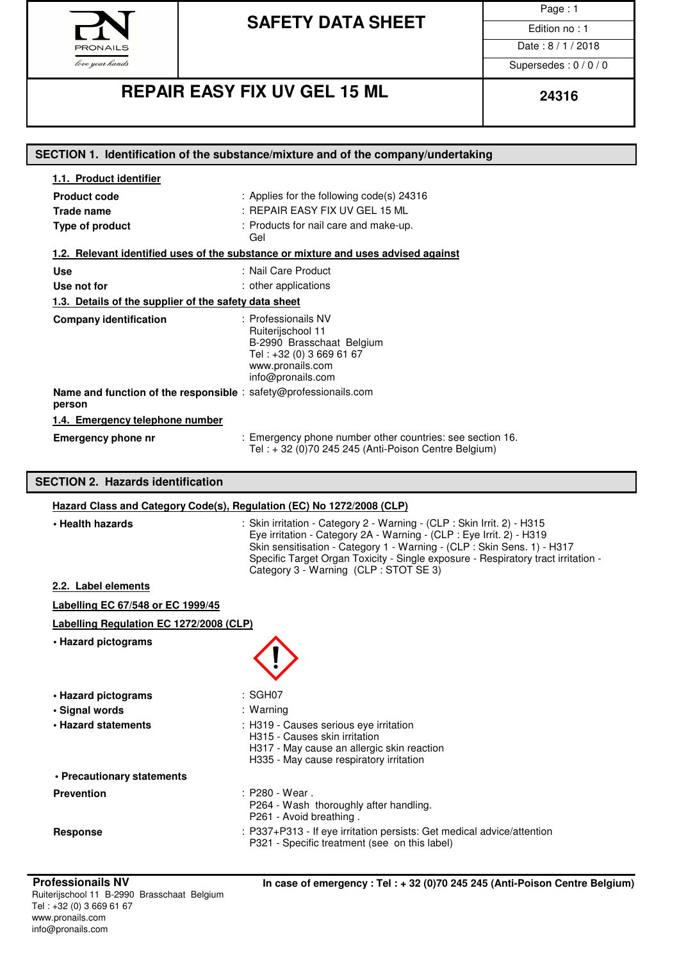

Page : 1

Date: 8/1/2018

Supersedes : 0 / 0 / 0

# **REPAIR EASY FIX UV GEL 15 ML 24316**

| 1.1. Product identifier                                        |                                                                                                                                                                                                                                                                                                                 |
|----------------------------------------------------------------|-----------------------------------------------------------------------------------------------------------------------------------------------------------------------------------------------------------------------------------------------------------------------------------------------------------------|
| <b>Product code</b>                                            | : Applies for the following code(s) 24316                                                                                                                                                                                                                                                                       |
| Trade name                                                     | : REPAIR EASY FIX UV GEL 15 ML                                                                                                                                                                                                                                                                                  |
| Type of product                                                | : Products for nail care and make-up.<br>Gel                                                                                                                                                                                                                                                                    |
|                                                                | 1.2. Relevant identified uses of the substance or mixture and uses advised against                                                                                                                                                                                                                              |
| <b>Use</b>                                                     | : Nail Care Product                                                                                                                                                                                                                                                                                             |
| Use not for                                                    | : other applications                                                                                                                                                                                                                                                                                            |
| 1.3. Details of the supplier of the safety data sheet          |                                                                                                                                                                                                                                                                                                                 |
| <b>Company identification</b>                                  | : Professionails NV<br>Ruiterijschool 11<br>B-2990 Brasschaat Belgium<br>Tel: +32 (0) 3 669 61 67<br>www.pronails.com<br>info@pronails.com                                                                                                                                                                      |
| person                                                         | Name and function of the responsible : safety@professionails.com                                                                                                                                                                                                                                                |
| 1.4. Emergency telephone number                                |                                                                                                                                                                                                                                                                                                                 |
| <b>Emergency phone nr</b>                                      | : Emergency phone number other countries: see section 16.<br>Tel: + 32 (0)70 245 245 (Anti-Poison Centre Belgium)                                                                                                                                                                                               |
|                                                                |                                                                                                                                                                                                                                                                                                                 |
|                                                                |                                                                                                                                                                                                                                                                                                                 |
| <b>SECTION 2. Hazards identification</b>                       |                                                                                                                                                                                                                                                                                                                 |
|                                                                | Hazard Class and Category Code(s), Regulation (EC) No 1272/2008 (CLP)                                                                                                                                                                                                                                           |
| • Health hazards                                               | : Skin irritation - Category 2 - Warning - (CLP : Skin Irrit. 2) - H315<br>Eye irritation - Category 2A - Warning - (CLP : Eye Irrit. 2) - H319<br>Skin sensitisation - Category 1 - Warning - (CLP : Skin Sens. 1) - H317<br>Specific Target Organ Toxicity - Single exposure - Respiratory tract irritation - |
| 2.2. Label elements                                            | Category 3 - Warning (CLP : STOT SE 3)                                                                                                                                                                                                                                                                          |
|                                                                |                                                                                                                                                                                                                                                                                                                 |
| Labelling EC 67/548 or EC 1999/45                              |                                                                                                                                                                                                                                                                                                                 |
| Labelling Regulation EC 1272/2008 (CLP)<br>• Hazard pictograms |                                                                                                                                                                                                                                                                                                                 |
|                                                                |                                                                                                                                                                                                                                                                                                                 |
| • Hazard pictograms                                            | : SGH07                                                                                                                                                                                                                                                                                                         |
| · Signal words<br>• Hazard statements                          | : Warning<br>: H319 - Causes serious eye irritation<br>H315 - Causes skin irritation<br>H317 - May cause an allergic skin reaction<br>H335 - May cause respiratory irritation                                                                                                                                   |
| • Precautionary statements                                     |                                                                                                                                                                                                                                                                                                                 |
| <b>Prevention</b>                                              | : P280 - Wear.<br>P264 - Wash thoroughly after handling.<br>P261 - Avoid breathing.                                                                                                                                                                                                                             |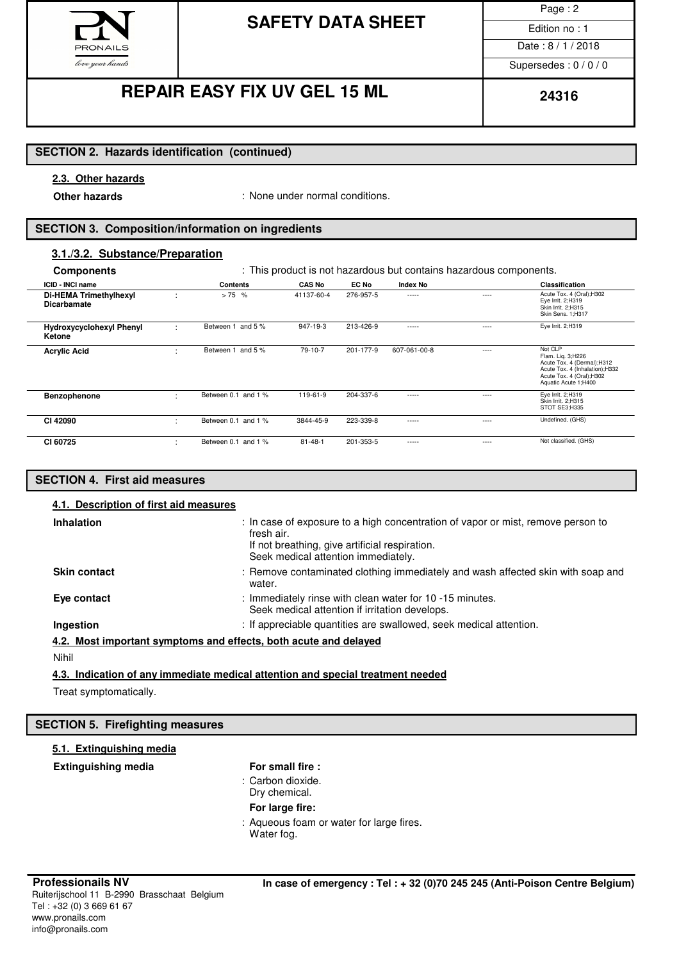

Page : 2

Date: 8/1/2018 Supersedes : 0 / 0 / 0

## **REPAIR EASY FIX UV GEL 15 ML**  $\begin{array}{|c|c|c|c|c|c|}\n\hline\n&24316\n\end{array}$

### **SECTION 2. Hazards identification (continued)**

### **2.3. Other hazards**

**Other hazards in the conduct of the conduct of the Conduct Other hazards Conducted States Conducted States Conducted States Conducted States Conducted States Conducted States Conducted States Conducted S** 

### **SECTION 3. Composition/information on ingredients**

### **3.1./3.2. Substance/Preparation**

| <b>Components</b>                            |        | : This product is not hazardous but contains hazardous components. |               |           |                 |           |                                                                                                                                                    |
|----------------------------------------------|--------|--------------------------------------------------------------------|---------------|-----------|-----------------|-----------|----------------------------------------------------------------------------------------------------------------------------------------------------|
| ICID - INCI name                             |        | <b>Contents</b>                                                    | <b>CAS No</b> | EC No     | <b>Index No</b> |           | <b>Classification</b>                                                                                                                              |
| Di-HEMA Trimethylhexyl<br><b>Dicarbamate</b> | ٠      | $> 75$ %                                                           | 41137-60-4    | 276-957-5 | -----           | $---$     | Acute Tox. 4 (Oral);H302<br>Eye Irrit. 2;H319<br>Skin Irrit. 2;H315<br>Skin Sens. 1;H317                                                           |
| <b>Hydroxycyclohexyl Phenyl</b><br>Ketone    | t      | Between 1 and 5 %                                                  | 947-19-3      | 213-426-9 | -----           | $\cdots$  | Eye Irrit. 2;H319                                                                                                                                  |
| <b>Acrylic Acid</b>                          | ٠<br>٠ | Between 1 and 5 %                                                  | 79-10-7       | 201-177-9 | 607-061-00-8    | $- - - -$ | Not CLP<br>Flam. Liq. 3;H226<br>Acute Tox. 4 (Dermal); H312<br>Acute Tox. 4 (Inhalation);H332<br>Acute Tox. 4 (Oral); H302<br>Aquatic Acute 1;H400 |
| Benzophenone                                 | ٠<br>٠ | Between 0.1 and 1 %                                                | 119-61-9      | 204-337-6 | $- - - - -$     | $\cdots$  | Eye Irrit. 2;H319<br>Skin Irrit, 2:H315<br>STOT SE3;H335                                                                                           |
| CI 42090                                     | ٠      | Between 0.1 and 1 %                                                | 3844-45-9     | 223-339-8 | -----           | $- - - -$ | Undefined. (GHS)                                                                                                                                   |
| CI 60725                                     | ٠      | Between 0.1 and 1 %                                                | $81 - 48 - 1$ | 201-353-5 | -----           | $- - - -$ | Not classified. (GHS)                                                                                                                              |

### **SECTION 4. First aid measures**

| 4.1. Description of first aid measures<br>Inhalation | : In case of exposure to a high concentration of vapor or mist, remove person to                           |
|------------------------------------------------------|------------------------------------------------------------------------------------------------------------|
|                                                      | fresh air.                                                                                                 |
|                                                      | If not breathing, give artificial respiration.<br>Seek medical attention immediately.                      |
| <b>Skin contact</b>                                  | : Remove contaminated clothing immediately and wash affected skin with soap and<br>water.                  |
| Eye contact                                          | : Immediately rinse with clean water for 10 -15 minutes.<br>Seek medical attention if irritation develops. |
| Ingestion                                            | : If appreciable quantities are swallowed, seek medical attention.                                         |
|                                                      | 4.2. Most important symptoms and effects, both acute and delayed                                           |
| Nihil                                                |                                                                                                            |

### **4.3. Indication of any immediate medical attention and special treatment needed**

Treat symptomatically.

### **SECTION 5. Firefighting measures**

| 5.1. Extinguishing media   |                                                        |
|----------------------------|--------------------------------------------------------|
| <b>Extinguishing media</b> | For small fire :                                       |
|                            | : Carbon dioxide.<br>Dry chemical.                     |
|                            | For large fire:                                        |
|                            | : Aqueous foam or water for large fires.<br>Water fog. |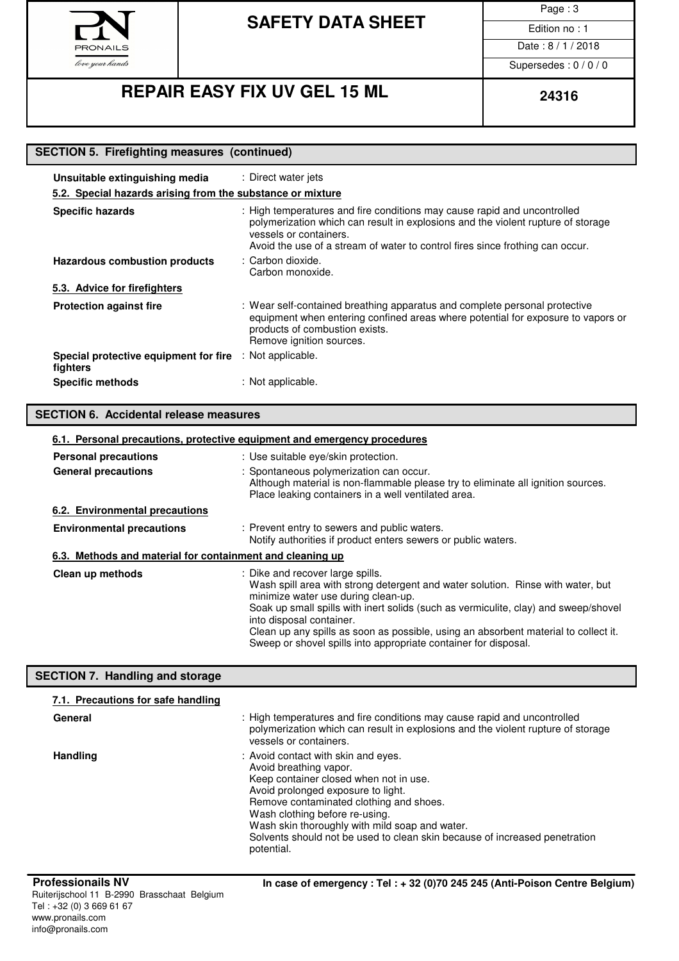

Page : 3

Date: 8/1/2018

Supersedes : 0 / 0 / 0

# **REPAIR EASY FIX UV GEL 15 ML**  $\begin{array}{|c|c|c|c|c|c|}\n\hline\n&24316\n\end{array}$

| <b>SECTION 5. Firefighting measures (continued)</b> |  |
|-----------------------------------------------------|--|

| Unsuitable extinguishing media                             | : Direct water jets                                                                                                                                                                                                                                                     |  |  |  |  |
|------------------------------------------------------------|-------------------------------------------------------------------------------------------------------------------------------------------------------------------------------------------------------------------------------------------------------------------------|--|--|--|--|
| 5.2. Special hazards arising from the substance or mixture |                                                                                                                                                                                                                                                                         |  |  |  |  |
| <b>Specific hazards</b>                                    | : High temperatures and fire conditions may cause rapid and uncontrolled<br>polymerization which can result in explosions and the violent rupture of storage<br>vessels or containers.<br>Avoid the use of a stream of water to control fires since frothing can occur. |  |  |  |  |
| Hazardous combustion products                              | : Carbon dioxide.<br>Carbon monoxide.                                                                                                                                                                                                                                   |  |  |  |  |
| 5.3. Advice for firefighters                               |                                                                                                                                                                                                                                                                         |  |  |  |  |
| <b>Protection against fire</b>                             | : Wear self-contained breathing apparatus and complete personal protective<br>equipment when entering confined areas where potential for exposure to vapors or<br>products of combustion exists.<br>Remove ignition sources.                                            |  |  |  |  |
| Special protective equipment for fire<br>fighters          | : Not applicable.                                                                                                                                                                                                                                                       |  |  |  |  |
| <b>Specific methods</b>                                    | : Not applicable.                                                                                                                                                                                                                                                       |  |  |  |  |

### **SECTION 6. Accidental release measures**

|                                                           | 6.1. Personal precautions, protective equipment and emergency procedures                                                                                                                                                                                                                                                                                                                                                                |
|-----------------------------------------------------------|-----------------------------------------------------------------------------------------------------------------------------------------------------------------------------------------------------------------------------------------------------------------------------------------------------------------------------------------------------------------------------------------------------------------------------------------|
| <b>Personal precautions</b>                               | : Use suitable eye/skin protection.                                                                                                                                                                                                                                                                                                                                                                                                     |
| <b>General precautions</b>                                | : Spontaneous polymerization can occur.<br>Although material is non-flammable please try to eliminate all ignition sources.<br>Place leaking containers in a well ventilated area.                                                                                                                                                                                                                                                      |
| 6.2. Environmental precautions                            |                                                                                                                                                                                                                                                                                                                                                                                                                                         |
| <b>Environmental precautions</b>                          | : Prevent entry to sewers and public waters.<br>Notify authorities if product enters sewers or public waters.                                                                                                                                                                                                                                                                                                                           |
| 6.3. Methods and material for containment and cleaning up |                                                                                                                                                                                                                                                                                                                                                                                                                                         |
| Clean up methods                                          | : Dike and recover large spills.<br>Wash spill area with strong detergent and water solution. Rinse with water, but<br>minimize water use during clean-up.<br>Soak up small spills with inert solids (such as vermiculite, clay) and sweep/shovel<br>into disposal container.<br>Clean up any spills as soon as possible, using an absorbent material to collect it.<br>Sweep or shovel spills into appropriate container for disposal. |

### **SECTION 7. Handling and storage**

| General         | : High temperatures and fire conditions may cause rapid and uncontrolled<br>polymerization which can result in explosions and the violent rupture of storage<br>vessels or containers.                                                                                                                                                                                   |
|-----------------|--------------------------------------------------------------------------------------------------------------------------------------------------------------------------------------------------------------------------------------------------------------------------------------------------------------------------------------------------------------------------|
| <b>Handling</b> | : Avoid contact with skin and eyes.<br>Avoid breathing vapor.<br>Keep container closed when not in use.<br>Avoid prolonged exposure to light.<br>Remove contaminated clothing and shoes.<br>Wash clothing before re-using.<br>Wash skin thoroughly with mild soap and water.<br>Solvents should not be used to clean skin because of increased penetration<br>potential. |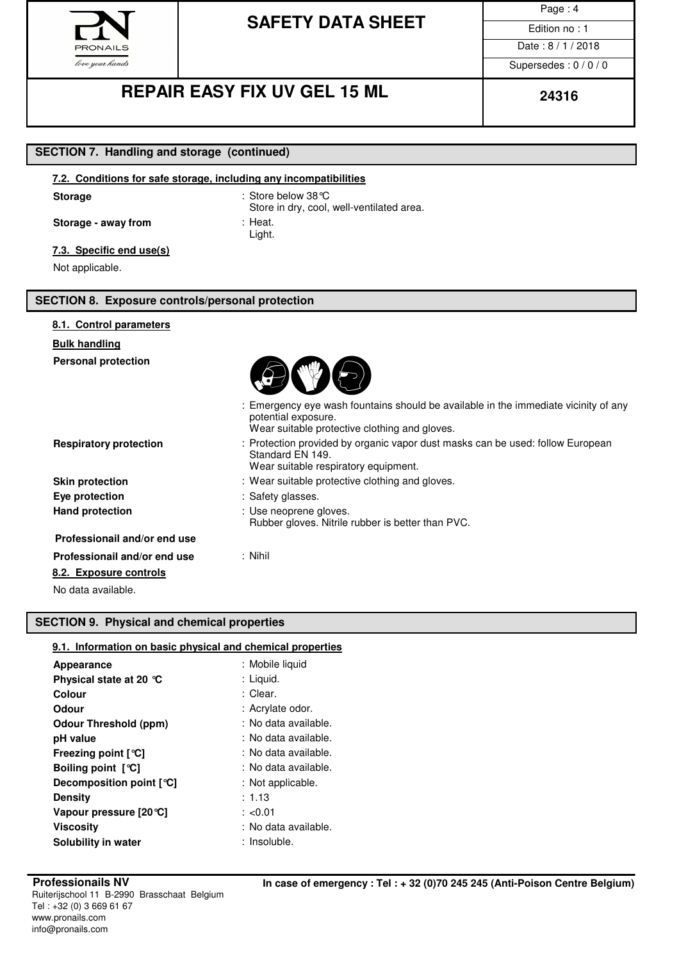

Page : 4

Date: 8/1/2018

Supersedes : 0 / 0 / 0

## **REPAIR EASY FIX UV GEL 15 ML**  $\begin{array}{|c|c|c|c|c|c|}\n\hline\n&24316\n\end{array}$

### **SECTION 7. Handling and storage (continued)**

### **7.2. Conditions for safe storage, including any incompatibilities**

Storage : Store below 38°C Store in dry, cool, well-ventilated area. **Storage - away from** : Heat. Light.

### **7.3. Specific end use(s)**

Not applicable.

### **SECTION 8. Exposure controls/personal protection**

| 8.1. Control parameters       |                                                                                                                                                             |
|-------------------------------|-------------------------------------------------------------------------------------------------------------------------------------------------------------|
| <b>Bulk handling</b>          |                                                                                                                                                             |
| <b>Personal protection</b>    |                                                                                                                                                             |
|                               | : Emergency eye wash fountains should be available in the immediate vicinity of any<br>potential exposure.<br>Wear suitable protective clothing and gloves. |
| <b>Respiratory protection</b> | : Protection provided by organic vapor dust masks can be used: follow European<br>Standard EN 149.<br>Wear suitable respiratory equipment.                  |
| <b>Skin protection</b>        | : Wear suitable protective clothing and gloves.                                                                                                             |
| Eye protection                | : Safety glasses.                                                                                                                                           |
| <b>Hand protection</b>        | : Use neoprene gloves.<br>Rubber gloves. Nitrile rubber is better than PVC.                                                                                 |
| Professionail and/or end use  |                                                                                                                                                             |
| Professionail and/or end use  | $:$ Nihil                                                                                                                                                   |
| 8.2. Exposure controls        |                                                                                                                                                             |
| No data available.            |                                                                                                                                                             |
|                               |                                                                                                                                                             |

### **SECTION 9. Physical and chemical properties**

### **9.1. Information on basic physical and chemical properties**

| Appearance                   | : Mobile liquid      |
|------------------------------|----------------------|
| Physical state at 20 °C      | : Liquid.            |
| Colour                       | : Clear.             |
| Odour                        | : Acrylate odor.     |
| <b>Odour Threshold (ppm)</b> | : No data available. |
| pH value                     | : No data available. |
| Freezing point $[°C]$        | : No data available. |
| Boiling point $[°C]$         | : No data available. |
| Decomposition point [°C]     | : Not applicable.    |
| <b>Density</b>               | : 1.13               |
| Vapour pressure [20 °C]      | : $< 0.01$           |
| Viscositv                    | : No data available. |
| Solubility in water          | : Insoluble.         |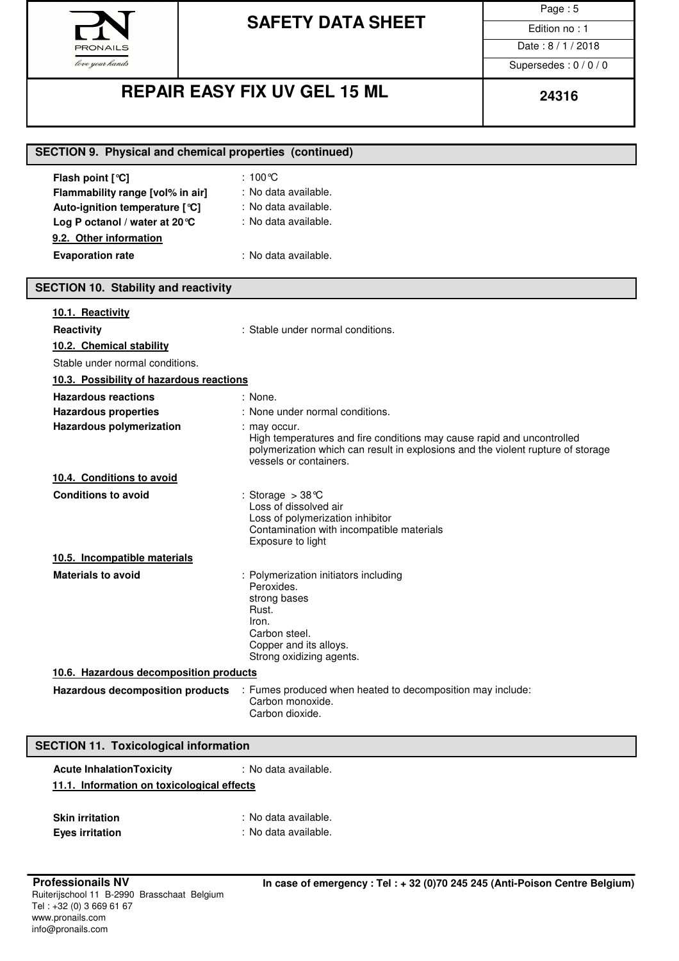

Page : 5

Date: 8/1/2018

Supersedes : 0 / 0 / 0

## **REPAIR EASY FIX UV GEL 15 ML**  $\begin{array}{|c|c|c|c|c|c|}\n\hline\n&24316\n\end{array}$

| <b>SECTION 9. Physical and chemical properties (continued)</b>                                                                                                                |                                                                                                                                                                                                                                                    |  |  |  |
|-------------------------------------------------------------------------------------------------------------------------------------------------------------------------------|----------------------------------------------------------------------------------------------------------------------------------------------------------------------------------------------------------------------------------------------------|--|--|--|
| Flash point [°C]<br>Flammability range [vol% in air]<br>Auto-ignition temperature [°C]<br>Log P octanol / water at 20 °C<br>9.2. Other information<br><b>Evaporation rate</b> | : 100℃<br>: No data available.<br>: No data available.<br>: No data available.<br>: No data available.                                                                                                                                             |  |  |  |
| <b>SECTION 10. Stability and reactivity</b>                                                                                                                                   |                                                                                                                                                                                                                                                    |  |  |  |
| 10.1. Reactivity<br>Reactivity<br>10.2. Chemical stability<br>Stable under normal conditions.                                                                                 | : Stable under normal conditions.                                                                                                                                                                                                                  |  |  |  |
| 10.3. Possibility of hazardous reactions                                                                                                                                      |                                                                                                                                                                                                                                                    |  |  |  |
| <b>Hazardous reactions</b><br><b>Hazardous properties</b><br>Hazardous polymerization                                                                                         | : None.<br>: None under normal conditions.<br>: may occur.<br>High temperatures and fire conditions may cause rapid and uncontrolled<br>polymerization which can result in explosions and the violent rupture of storage<br>vessels or containers. |  |  |  |
| 10.4. Conditions to avoid                                                                                                                                                     |                                                                                                                                                                                                                                                    |  |  |  |
| <b>Conditions to avoid</b>                                                                                                                                                    | : Storage $>38^{\circ}$ C<br>Loss of dissolved air<br>Loss of polymerization inhibitor<br>Contamination with incompatible materials<br>Exposure to light                                                                                           |  |  |  |
| 10.5. Incompatible materials                                                                                                                                                  |                                                                                                                                                                                                                                                    |  |  |  |
| <b>Materials to avoid</b>                                                                                                                                                     | : Polymerization initiators including<br>Peroxides.<br>strong bases<br>Rust.<br>Iron.<br>Carbon steel.<br>Copper and its alloys.<br>Strong oxidizing agents.                                                                                       |  |  |  |
| 10.6. Hazardous decomposition products                                                                                                                                        |                                                                                                                                                                                                                                                    |  |  |  |
| Hazardous decomposition products                                                                                                                                              | : Fumes produced when heated to decomposition may include:<br>Carbon monoxide.<br>Carbon dioxide.                                                                                                                                                  |  |  |  |
|                                                                                                                                                                               |                                                                                                                                                                                                                                                    |  |  |  |

### **SECTION 11. Toxicological information**

| <b>Acute Inhalation Toxicity</b>           | : No data available. |  |  |  |
|--------------------------------------------|----------------------|--|--|--|
| 11.1. Information on toxicological effects |                      |  |  |  |
|                                            |                      |  |  |  |
| <b>Skin irritation</b>                     | : No data available. |  |  |  |
| <b>Eyes irritation</b>                     | : No data available. |  |  |  |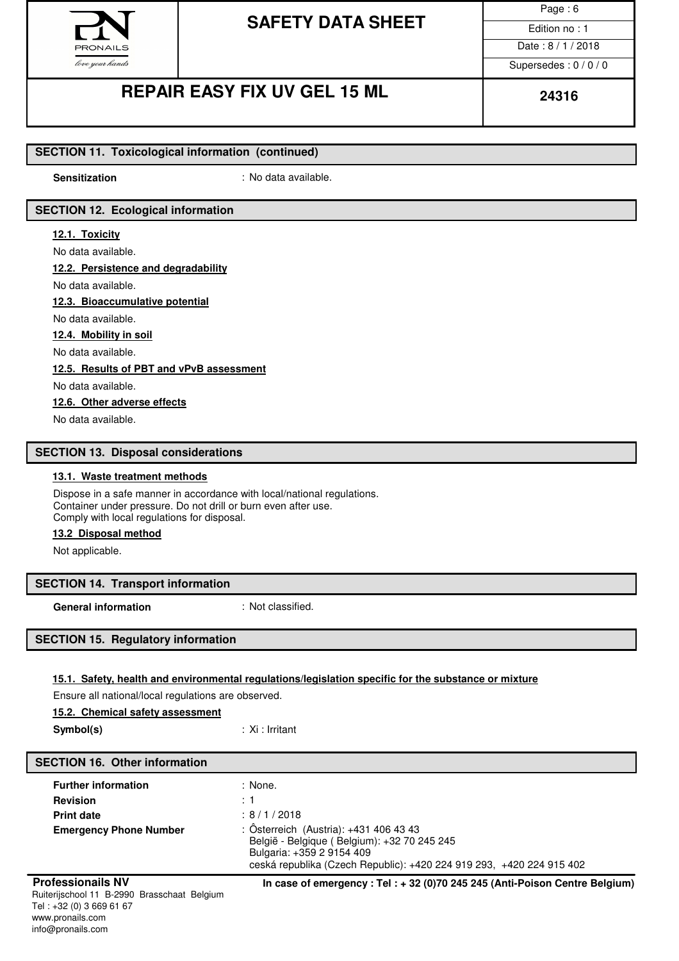

### **SAFETY DATA SHEET**  $\overline{\phantom{a}}$  Edition no : 1

Page : 6 Date: 8/1/2018

Supersedes : 0 / 0 / 0

### **REPAIR EASY FIX UV GEL 15 ML**  $\begin{array}{|c|c|c|c|c|c|}\n\hline\n&24316\n\end{array}$

### **SECTION 11. Toxicological information (continued)**

**Sensitization** : No data available.

### **SECTION 12. Ecological information**

### **12.1. Toxicity**

No data available.

#### **12.2. Persistence and degradability**

No data available.

**12.3. Bioaccumulative potential**

### No data available.

**12.4. Mobility in soil**

No data available.

#### **12.5. Results of PBT and vPvB assessment**

No data available.

**12.6. Other adverse effects**

No data available.

#### **SECTION 13. Disposal considerations**

#### **13.1. Waste treatment methods**

Dispose in a safe manner in accordance with local/national regulations. Container under pressure. Do not drill or burn even after use. Comply with local regulations for disposal.

#### **13.2 Disposal method**

Not applicable.

#### **SECTION 14. Transport information**

**General information** : Not classified.

#### **SECTION 15. Regulatory information**

#### **15.1. Safety, health and environmental regulations/legislation specific for the substance or mixture**

Ensure all national/local regulations are observed.

#### **15.2. Chemical safety assessment**

**Symbol(s)** : Xi : Irritant

#### **SECTION 16. Other information**

| <b>Further information</b>    | : None.                                                                                                                                                                                    |
|-------------------------------|--------------------------------------------------------------------------------------------------------------------------------------------------------------------------------------------|
| <b>Revision</b>               | $\div$ 1.                                                                                                                                                                                  |
| <b>Print date</b>             | : 8/1/2018                                                                                                                                                                                 |
| <b>Emergency Phone Number</b> | : Österreich (Austria): +431 406 43 43<br>België - Belgique (Belgium): +32 70 245 245<br>Bulgaria: +359 2 9154 409<br>ceská republika (Czech Republic): +420 224 919 293, +420 224 915 402 |

**Professionails NV In case of emergency : Tel : + 32 (0)70 245 245 (Anti-Poison Centre Belgium)**